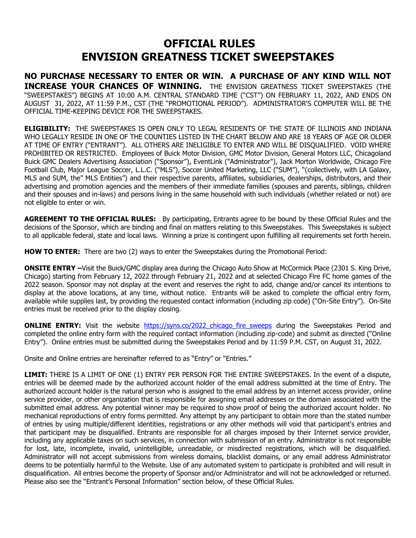## **OFFICIAL RULES ENVISION GREATNESS TICKET SWEEPSTAKES**

**NO PURCHASE NECESSARY TO ENTER OR WIN. A PURCHASE OF ANY KIND WILL NOT INCREASE YOUR CHANCES OF WINNING.** THE ENVISION GREATNESS TICKET SWEEPSTAKES (THE "SWEEPSTAKES") BEGINS AT 10:00 A.M. CENTRAL STANDARD TIME ("CST") ON FEBRUARY 11, 2022, AND ENDS ON AUGUST 31, 2022, AT 11:59 P.M., CST (THE "PROMOTIONAL PERIOD"). ADMINISTRATOR'S COMPUTER WILL BE THE OFFICIAL TIME-KEEPING DEVICE FOR THE SWEEPSTAKES.

**ELIGIBILITY:** THE SWEEPSTAKES IS OPEN ONLY TO LEGAL RESIDENTS OF THE STATE OF ILLINOIS AND INDIANA WHO LEGALLY RESIDE IN ONE OF THE COUNTIES LISTED IN THE CHART BELOW AND ARE 18 YEARS OF AGE OR OLDER AT TIME OF ENTRY ("ENTRANT"). ALL OTHERS ARE INELIGIBLE TO ENTER AND WILL BE DISQUALIFIED. VOID WHERE PROHIBITED OR RESTRICTED. Employees of Buick Motor Division, GMC Motor Division, General Motors LLC, Chicagoland Buick GMC Dealers Advertising Association ("Sponsor"), EventLink ("Administrator"), Jack Morton Worldwide, Chicago Fire Football Club, Major League Soccer, L.L.C. ("MLS"), Soccer United Marketing, LLC ("SUM"), "(collectively, with LA Galaxy, MLS and SUM, the" MLS Entities") and their respective parents, affiliates, subsidiaries, dealerships, distributors, and their advertising and promotion agencies and the members of their immediate families (spouses and parents, siblings, children and their spouses and in-laws) and persons living in the same household with such individuals (whether related or not) are not eligible to enter or win.

**AGREEMENT TO THE OFFICIAL RULES:** By participating, Entrants agree to be bound by these Official Rules and the decisions of the Sponsor, which are binding and final on matters relating to this Sweepstakes. This Sweepstakes is subject to all applicable federal, state and local laws. Winning a prize is contingent upon fulfilling all requirements set forth herein.

**HOW TO ENTER:** There are two (2) ways to enter the Sweepstakes during the Promotional Period:

**ONSITE ENTRY –**Visit the Buick/GMC display area during the Chicago Auto Show at McCormick Place (2301 S. King Drive, Chicago) starting from February 12, 2022 through February 21, 2022 and at selected Chicago Fire FC home games of the 2022 season. Sponsor may not display at the event and reserves the right to add, change and/or cancel its intentions to display at the above locations, at any time, without notice. Entrants will be asked to complete the official entry form, available while supplies last, by providing the requested contact information (including zip code) ("On-Site Entry"). On-Site entries must be received prior to the display closing.

**ONLINE ENTRY:** Visit the website https://syns.co/2022 chicago fire sweeps during the Sweepstakes Period and completed the online entry form with the required contact information (including zip-code) and submit as directed ("Online Entry"). Online entries must be submitted during the Sweepstakes Period and by 11:59 P.M. CST, on August 31, 2022.

Onsite and Online entries are hereinafter referred to as "Entry" or "Entries."

**LIMIT:** THERE IS A LIMIT OF ONE (1) ENTRY PER PERSON FOR THE ENTIRE SWEEPSTAKES. In the event of a dispute, entries will be deemed made by the authorized account holder of the email address submitted at the time of Entry. The authorized account holder is the natural person who is assigned to the email address by an internet access provider, online service provider, or other organization that is responsible for assigning email addresses or the domain associated with the submitted email address. Any potential winner may be required to show proof of being the authorized account holder. No mechanical reproductions of entry forms permitted. Any attempt by any participant to obtain more than the stated number of entries by using multiple/different identities, registrations or any other methods will void that participant's entries and that participant may be disqualified. Entrants are responsible for all charges imposed by their Internet service provider, including any applicable taxes on such services, in connection with submission of an entry. Administrator is not responsible for lost, late, incomplete, invalid, unintelligible, unreadable, or misdirected registrations, which will be disqualified. Administrator will not accept submissions from wireless domains, blacklist domains, or any email address Administrator deems to be potentially harmful to the Website. Use of any automated system to participate is prohibited and will result in disqualification. All entries become the property of Sponsor and/or Administrator and will not be acknowledged or returned. Please also see the "Entrant's Personal Information" section below, of these Official Rules.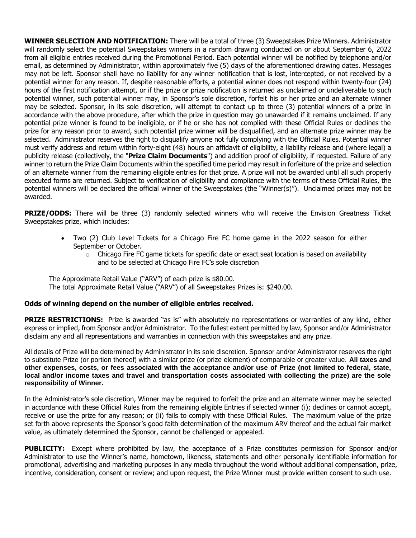**WINNER SELECTION AND NOTIFICATION:** There will be a total of three (3) Sweepstakes Prize Winners. Administrator will randomly select the potential Sweepstakes winners in a random drawing conducted on or about September 6, 2022 from all eligible entries received during the Promotional Period. Each potential winner will be notified by telephone and/or email, as determined by Administrator, within approximately five (5) days of the aforementioned drawing dates. Messages may not be left. Sponsor shall have no liability for any winner notification that is lost, intercepted, or not received by a potential winner for any reason. If, despite reasonable efforts, a potential winner does not respond within twenty-four (24) hours of the first notification attempt, or if the prize or prize notification is returned as unclaimed or undeliverable to such potential winner, such potential winner may, in Sponsor's sole discretion, forfeit his or her prize and an alternate winner may be selected. Sponsor, in its sole discretion, will attempt to contact up to three (3) potential winners of a prize in accordance with the above procedure, after which the prize in question may go unawarded if it remains unclaimed. If any potential prize winner is found to be ineligible, or if he or she has not complied with these Official Rules or declines the prize for any reason prior to award, such potential prize winner will be disqualified, and an alternate prize winner may be selected. Administrator reserves the right to disqualify anyone not fully complying with the Official Rules. Potential winner must verify address and return within forty-eight (48) hours an affidavit of eligibility, a liability release and (where legal) a publicity release (collectively, the "**Prize Claim Documents**") and addition proof of eligibility, if requested. Failure of any winner to return the Prize Claim Documents within the specified time period may result in forfeiture of the prize and selection of an alternate winner from the remaining eligible entries for that prize. A prize will not be awarded until all such properly executed forms are returned. Subject to verification of eligibility and compliance with the terms of these Official Rules, the potential winners will be declared the official winner of the Sweepstakes (the "Winner(s)"). Unclaimed prizes may not be awarded.

**PRIZE/ODDS:** There will be three (3) randomly selected winners who will receive the Envision Greatness Ticket Sweepstakes prize, which includes:

- Two (2) Club Level Tickets for a Chicago Fire FC home game in the 2022 season for either September or October.
	- $\circ$  Chicago Fire FC game tickets for specific date or exact seat location is based on availability and to be selected at Chicago Fire FC's sole discretion

The Approximate Retail Value ("ARV") of each prize is \$80.00. The total Approximate Retail Value ("ARV") of all Sweepstakes Prizes is: \$240.00.

## **Odds of winning depend on the number of eligible entries received.**

**PRIZE RESTRICTIONS:** Prize is awarded "as is" with absolutely no representations or warranties of any kind, either express or implied, from Sponsor and/or Administrator. To the fullest extent permitted by law, Sponsor and/or Administrator disclaim any and all representations and warranties in connection with this sweepstakes and any prize.

All details of Prize will be determined by Administrator in its sole discretion. Sponsor and/or Administrator reserves the right to substitute Prize (or portion thereof) with a similar prize (or prize element) of comparable or greater value. **All taxes and other expenses, costs, or fees associated with the acceptance and/or use of Prize (not limited to federal, state, local and/or income taxes and travel and transportation costs associated with collecting the prize) are the sole responsibility of Winner.**

In the Administrator's sole discretion, Winner may be required to forfeit the prize and an alternate winner may be selected in accordance with these Official Rules from the remaining eligible Entries if selected winner (i); declines or cannot accept, receive or use the prize for any reason; or (ii) fails to comply with these Official Rules. The maximum value of the prize set forth above represents the Sponsor's good faith determination of the maximum ARV thereof and the actual fair market value, as ultimately determined the Sponsor, cannot be challenged or appealed.

**PUBLICITY:** Except where prohibited by law, the acceptance of a Prize constitutes permission for Sponsor and/or Administrator to use the Winner's name, hometown, likeness, statements and other personally identifiable information for promotional, advertising and marketing purposes in any media throughout the world without additional compensation, prize, incentive, consideration, consent or review; and upon request, the Prize Winner must provide written consent to such use.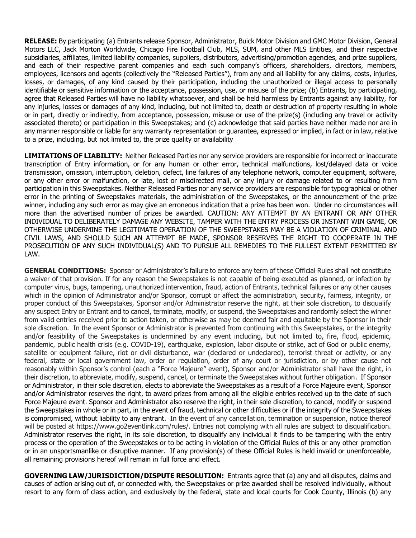**RELEASE:** By participating (a) Entrants release Sponsor, Administrator, Buick Motor Division and GMC Motor Division, General Motors LLC, Jack Morton Worldwide, Chicago Fire Football Club, MLS, SUM, and other MLS Entities, and their respective subsidiaries, affiliates, limited liability companies, suppliers, distributors, advertising/promotion agencies, and prize suppliers, and each of their respective parent companies and each such company's officers, shareholders, directors, members, employees, licensors and agents (collectively the "Released Parties"), from any and all liability for any claims, costs, injuries, losses, or damages, of any kind caused by their participation, including the unauthorized or illegal access to personally identifiable or sensitive information or the acceptance, possession, use, or misuse of the prize; (b) Entrants, by participating, agree that Released Parties will have no liability whatsoever, and shall be held harmless by Entrants against any liability, for any injuries, losses or damages of any kind, including, but not limited to, death or destruction of property resulting in whole or in part, directly or indirectly, from acceptance, possession, misuse or use of the prize(s) (including any travel or activity associated thereto) or participation in this Sweepstakes; and (c) acknowledge that said parties have neither made nor are in any manner responsible or liable for any warranty representation or guarantee, expressed or implied, in fact or in law, relative to a prize, including, but not limited to, the prize quality or availability

**LIMITATIONS OF LIABILITY:** Neither Released Parties nor any service providers are responsible for incorrect or inaccurate transcription of Entry information, or for any human or other error, technical malfunctions, lost/delayed data or voice transmission, omission, interruption, deletion, defect, line failures of any telephone network, computer equipment, software, or any other error or malfunction, or late, lost or misdirected mail, or any injury or damage related to or resulting from participation in this Sweepstakes. Neither Released Parties nor any service providers are responsible for typographical or other error in the printing of Sweepstakes materials, the administration of the Sweepstakes, or the announcement of the prize winner, including any such error as may give an erroneous indication that a prize has been won. Under no circumstances will more than the advertised number of prizes be awarded. CAUTION: ANY ATTEMPT BY AN ENTRANT OR ANY OTHER INDIVIDUAL TO DELIBERATELY DAMAGE ANY WEBSITE, TAMPER WITH THE ENTRY PROCESS OR INSTANT WIN GAME, OR OTHERWISE UNDERMINE THE LEGITIMATE OPERATION OF THE SWEEPSTAKES MAY BE A VIOLATION OF CRIMINAL AND CIVIL LAWS, AND SHOULD SUCH AN ATTEMPT BE MADE, SPONSOR RESERVES THE RIGHT TO COOPERATE IN THE PROSECUTION OF ANY SUCH INDIVIDUAL(S) AND TO PURSUE ALL REMEDIES TO THE FULLEST EXTENT PERMITTED BY LAW.

**GENERAL CONDITIONS:** Sponsor or Administrator's failure to enforce any term of these Official Rules shall not constitute a waiver of that provision. If for any reason the Sweepstakes is not capable of being executed as planned, or infection by computer virus, bugs, tampering, unauthorized intervention, fraud, action of Entrants, technical failures or any other causes which in the opinion of Administrator and/or Sponsor, corrupt or affect the administration, security, fairness, integrity, or proper conduct of this Sweepstakes, Sponsor and/or Administrator reserve the right, at their sole discretion, to disqualify any suspect Entry or Entrant and to cancel, terminate, modify, or suspend, the Sweepstakes and randomly select the winner from valid entries received prior to action taken, or otherwise as may be deemed fair and equitable by the Sponsor in their sole discretion. In the event Sponsor or Administrator is prevented from continuing with this Sweepstakes, or the integrity and/or feasibility of the Sweepstakes is undermined by any event including, but not limited to, fire, flood, epidemic, pandemic, public health crisis (e.g. COVID-19), earthquake, explosion, labor dispute or strike, act of God or public enemy, satellite or equipment failure, riot or civil disturbance, war (declared or undeclared), terrorist threat or activity, or any federal, state or local government law, order or regulation, order of any court or jurisdiction, or by other cause not reasonably within Sponsor's control (each a "Force Majeure" event), Sponsor and/or Administrator shall have the right, in their discretion, to abbreviate, modify, suspend, cancel, or terminate the Sweepstakes without further obligation. If Sponsor or Administrator, in their sole discretion, elects to abbreviate the Sweepstakes as a result of a Force Majeure event, Sponsor and/or Administrator reserves the right, to award prizes from among all the eligible entries received up to the date of such Force Majeure event. Sponsor and Administrator also reserve the right, in their sole discretion, to cancel, modify or suspend the Sweepstakes in whole or in part, in the event of fraud, technical or other difficulties or if the integrity of the Sweepstakes is compromised, without liability to any entrant. In the event of any cancellation, termination or suspension, notice thereof will be posted at https://www.go2eventlink.com/rules/. Entries not complying with all rules are subject to disqualification. Administrator reserves the right, in its sole discretion, to disqualify any individual it finds to be tampering with the entry process or the operation of the Sweepstakes or to be acting in violation of the Official Rules of this or any other promotion or in an unsportsmanlike or disruptive manner. If any provision(s) of these Official Rules is held invalid or unenforceable, all remaining provisions hereof will remain in full force and effect.

**GOVERNING LAW/JURISDICTION/DISPUTE RESOLUTION:** Entrants agree that (a) any and all disputes, claims and causes of action arising out of, or connected with, the Sweepstakes or prize awarded shall be resolved individually, without resort to any form of class action, and exclusively by the federal, state and local courts for Cook County, Illinois (b) any